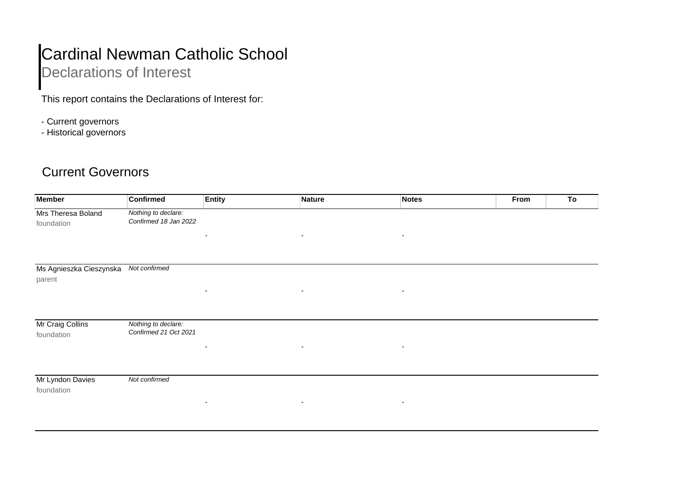## Cardinal Newman Catholic School

## Declarations of Interest

This report contains the Declarations of Interest for:

- Current governors
- Historical governors

## Current Governors

| <b>Member</b>                     | <b>Confirmed</b>                             | <b>Entity</b>            | Nature                   | <b>Notes</b>             | From | To |
|-----------------------------------|----------------------------------------------|--------------------------|--------------------------|--------------------------|------|----|
| Mrs Theresa Boland<br>foundation  | Nothing to declare:<br>Confirmed 18 Jan 2022 |                          |                          |                          |      |    |
|                                   |                                              | $\overline{\phantom{0}}$ | $\overline{\phantom{a}}$ | ۰                        |      |    |
| Ms Agnieszka Cieszynska<br>parent | Not confirmed                                |                          |                          |                          |      |    |
|                                   |                                              |                          | $\blacksquare$           | $\overline{\phantom{0}}$ |      |    |
| Mr Craig Collins<br>foundation    | Nothing to declare:<br>Confirmed 21 Oct 2021 |                          |                          |                          |      |    |
|                                   |                                              | $\overline{\phantom{0}}$ | $\sim$                   | $\overline{\phantom{0}}$ |      |    |
| Mr Lyndon Davies<br>foundation    | Not confirmed                                |                          |                          |                          |      |    |
|                                   |                                              | $\overline{\phantom{a}}$ | $\overline{\phantom{a}}$ | $\overline{\phantom{a}}$ |      |    |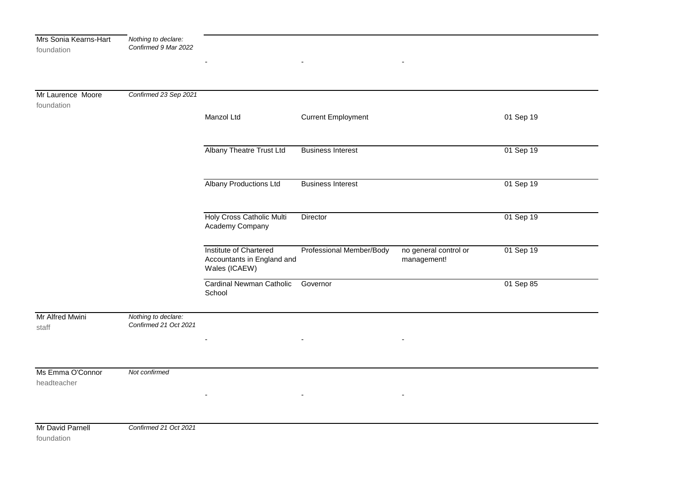| Mrs Sonia Kearns-Hart<br>foundation | Nothing to declare:<br>Confirmed 9 Mar 2022  |                                                                       |                           |                                      |           |
|-------------------------------------|----------------------------------------------|-----------------------------------------------------------------------|---------------------------|--------------------------------------|-----------|
|                                     |                                              |                                                                       |                           |                                      |           |
| Mr Laurence Moore<br>foundation     | Confirmed 23 Sep 2021                        |                                                                       |                           |                                      |           |
|                                     |                                              | Manzol Ltd                                                            | <b>Current Employment</b> |                                      | 01 Sep 19 |
|                                     |                                              | <b>Albany Theatre Trust Ltd</b>                                       | <b>Business Interest</b>  |                                      | 01 Sep 19 |
|                                     |                                              | <b>Albany Productions Ltd</b>                                         | <b>Business Interest</b>  |                                      | 01 Sep 19 |
|                                     |                                              | Holy Cross Catholic Multi<br>Academy Company                          | Director                  |                                      | 01 Sep 19 |
|                                     |                                              | Institute of Chartered<br>Accountants in England and<br>Wales (ICAEW) | Professional Member/Body  | no general control or<br>management! | 01 Sep 19 |
|                                     |                                              | Cardinal Newman Catholic<br>School                                    | Governor                  |                                      | 01 Sep 85 |
| Mr Alfred Mwini<br>staff            | Nothing to declare:<br>Confirmed 21 Oct 2021 |                                                                       |                           |                                      |           |
|                                     |                                              |                                                                       |                           |                                      |           |
| Ms Emma O'Connor<br>headteacher     | Not confirmed                                |                                                                       |                           |                                      |           |
|                                     |                                              |                                                                       | $\blacksquare$            |                                      |           |
| Mr David Parnell<br>foundation      | Confirmed 21 Oct 2021                        |                                                                       |                           |                                      |           |